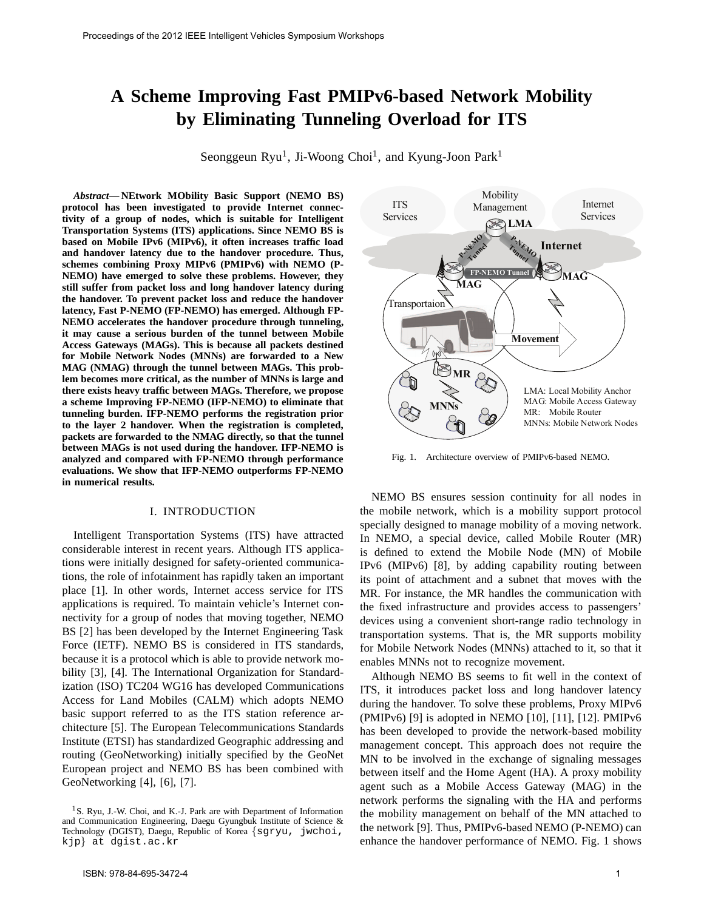# **A Scheme Improving Fast PMIPv6-based Network Mobility by Eliminating Tunneling Overload for ITS**

Seonggeun Ryu<sup>1</sup>, Ji-Woong Choi<sup>1</sup>, and Kyung-Joon Park<sup>1</sup>

*Abstract***— NEtwork MObility Basic Support (NEMO BS) protocol has been investigated to provide Internet connectivity of a group of nodes, which is suitable for Intelligent Transportation Systems (ITS) applications. Since NEMO BS is based on Mobile IPv6 (MIPv6), it often increases traffic load and handover latency due to the handover procedure. Thus, schemes combining Proxy MIPv6 (PMIPv6) with NEMO (P-NEMO) have emerged to solve these problems. However, they still suffer from packet loss and long handover latency during the handover. To prevent packet loss and reduce the handover latency, Fast P-NEMO (FP-NEMO) has emerged. Although FP-NEMO accelerates the handover procedure through tunneling, it may cause a serious burden of the tunnel between Mobile Access Gateways (MAGs). This is because all packets destined for Mobile Network Nodes (MNNs) are forwarded to a New MAG (NMAG) through the tunnel between MAGs. This problem becomes more critical, as the number of MNNs is large and there exists heavy traffic between MAGs. Therefore, we propose a scheme Improving FP-NEMO (IFP-NEMO) to eliminate that tunneling burden. IFP-NEMO performs the registration prior to the layer 2 handover. When the registration is completed, packets are forwarded to the NMAG directly, so that the tunnel between MAGs is not used during the handover. IFP-NEMO is analyzed and compared with FP-NEMO through performance evaluations. We show that IFP-NEMO outperforms FP-NEMO in numerical results.**

### I. INTRODUCTION

Intelligent Transportation Systems (ITS) have attracted considerable interest in recent years. Although ITS applications were initially designed for safety-oriented communications, the role of infotainment has rapidly taken an important place [1]. In other words, Internet access service for ITS applications is required. To maintain vehicle's Internet connectivity for a group of nodes that moving together, NEMO BS [2] has been developed by the Internet Engineering Task Force (IETF). NEMO BS is considered in ITS standards, because it is a protocol which is able to provide network mobility [3], [4]. The International Organization for Standardization (ISO) TC204 WG16 has developed Communications Access for Land Mobiles (CALM) which adopts NEMO basic support referred to as the ITS station reference architecture [5]. The European Telecommunications Standards Institute (ETSI) has standardized Geographic addressing and routing (GeoNetworking) initially specified by the GeoNet European project and NEMO BS has been combined with GeoNetworking [4], [6], [7].



Fig. 1. Architecture overview of PMIPv6-based NEMO.

NEMO BS ensures session continuity for all nodes in the mobile network, which is a mobility support protocol specially designed to manage mobility of a moving network. In NEMO, a special device, called Mobile Router (MR) is defined to extend the Mobile Node (MN) of Mobile IPv6 (MIPv6) [8], by adding capability routing between its point of attachment and a subnet that moves with the MR. For instance, the MR handles the communication with the fixed infrastructure and provides access to passengers' devices using a convenient short-range radio technology in transportation systems. That is, the MR supports mobility for Mobile Network Nodes (MNNs) attached to it, so that it enables MNNs not to recognize movement.

Although NEMO BS seems to fit well in the context of ITS, it introduces packet loss and long handover latency during the handover. To solve these problems, Proxy MIPv6 (PMIPv6) [9] is adopted in NEMO [10], [11], [12]. PMIPv6 has been developed to provide the network-based mobility management concept. This approach does not require the MN to be involved in the exchange of signaling messages between itself and the Home Agent (HA). A proxy mobility agent such as a Mobile Access Gateway (MAG) in the network performs the signaling with the HA and performs the mobility management on behalf of the MN attached to the network [9]. Thus, PMIPv6-based NEMO (P-NEMO) can enhance the handover performance of NEMO. Fig. 1 shows

<sup>&</sup>lt;sup>1</sup>S. Ryu, J.-W. Choi, and K.-J. Park are with Department of Information and Communication Engineering, Daegu Gyungbuk Institute of Science & Technology (DGIST), Daegu, Republic of Korea {sgryu, jwchoi, kjp} at dgist.ac.kr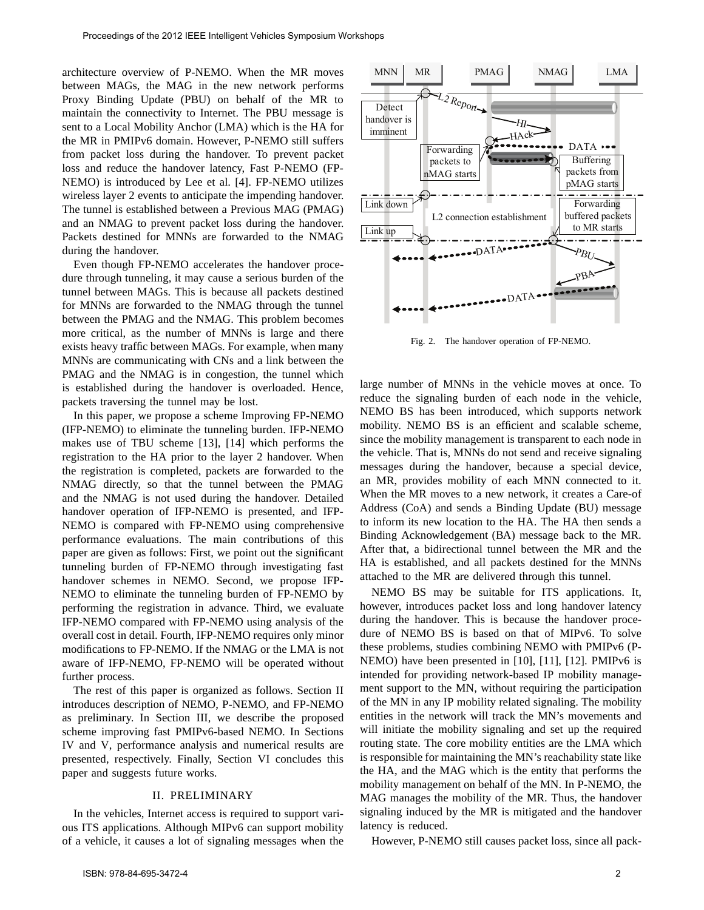architecture overview of P-NEMO. When the MR moves between MAGs, the MAG in the new network performs Proxy Binding Update (PBU) on behalf of the MR to maintain the connectivity to Internet. The PBU message is sent to a Local Mobility Anchor (LMA) which is the HA for the MR in PMIPv6 domain. However, P-NEMO still suffers from packet loss during the handover. To prevent packet loss and reduce the handover latency, Fast P-NEMO (FP-NEMO) is introduced by Lee et al. [4]. FP-NEMO utilizes wireless layer 2 events to anticipate the impending handover. The tunnel is established between a Previous MAG (PMAG) and an NMAG to prevent packet loss during the handover. Packets destined for MNNs are forwarded to the NMAG during the handover.

Even though FP-NEMO accelerates the handover procedure through tunneling, it may cause a serious burden of the tunnel between MAGs. This is because all packets destined for MNNs are forwarded to the NMAG through the tunnel between the PMAG and the NMAG. This problem becomes more critical, as the number of MNNs is large and there exists heavy traffic between MAGs. For example, when many MNNs are communicating with CNs and a link between the PMAG and the NMAG is in congestion, the tunnel which is established during the handover is overloaded. Hence, packets traversing the tunnel may be lost.

In this paper, we propose a scheme Improving FP-NEMO (IFP-NEMO) to eliminate the tunneling burden. IFP-NEMO makes use of TBU scheme [13], [14] which performs the registration to the HA prior to the layer 2 handover. When the registration is completed, packets are forwarded to the NMAG directly, so that the tunnel between the PMAG and the NMAG is not used during the handover. Detailed handover operation of IFP-NEMO is presented, and IFP-NEMO is compared with FP-NEMO using comprehensive performance evaluations. The main contributions of this paper are given as follows: First, we point out the significant tunneling burden of FP-NEMO through investigating fast handover schemes in NEMO. Second, we propose IFP-NEMO to eliminate the tunneling burden of FP-NEMO by performing the registration in advance. Third, we evaluate IFP-NEMO compared with FP-NEMO using analysis of the overall cost in detail. Fourth, IFP-NEMO requires only minor modifications to FP-NEMO. If the NMAG or the LMA is not aware of IFP-NEMO, FP-NEMO will be operated without further process.

The rest of this paper is organized as follows. Section II introduces description of NEMO, P-NEMO, and FP-NEMO as preliminary. In Section III, we describe the proposed scheme improving fast PMIPv6-based NEMO. In Sections IV and V, performance analysis and numerical results are presented, respectively. Finally, Section VI concludes this paper and suggests future works.

### II. PRELIMINARY

In the vehicles, Internet access is required to support various ITS applications. Although MIPv6 can support mobility of a vehicle, it causes a lot of signaling messages when the



Fig. 2. The handover operation of FP-NEMO.

large number of MNNs in the vehicle moves at once. To reduce the signaling burden of each node in the vehicle, NEMO BS has been introduced, which supports network mobility. NEMO BS is an efficient and scalable scheme, since the mobility management is transparent to each node in the vehicle. That is, MNNs do not send and receive signaling messages during the handover, because a special device, an MR, provides mobility of each MNN connected to it. When the MR moves to a new network, it creates a Care-of Address (CoA) and sends a Binding Update (BU) message to inform its new location to the HA. The HA then sends a Binding Acknowledgement (BA) message back to the MR. After that, a bidirectional tunnel between the MR and the HA is established, and all packets destined for the MNNs attached to the MR are delivered through this tunnel.

NEMO BS may be suitable for ITS applications. It, however, introduces packet loss and long handover latency during the handover. This is because the handover procedure of NEMO BS is based on that of MIPv6. To solve these problems, studies combining NEMO with PMIPv6 (P-NEMO) have been presented in [10], [11], [12]. PMIPv6 is intended for providing network-based IP mobility management support to the MN, without requiring the participation of the MN in any IP mobility related signaling. The mobility entities in the network will track the MN's movements and will initiate the mobility signaling and set up the required routing state. The core mobility entities are the LMA which is responsible for maintaining the MN's reachability state like the HA, and the MAG which is the entity that performs the mobility management on behalf of the MN. In P-NEMO, the MAG manages the mobility of the MR. Thus, the handover signaling induced by the MR is mitigated and the handover latency is reduced.

However, P-NEMO still causes packet loss, since all pack-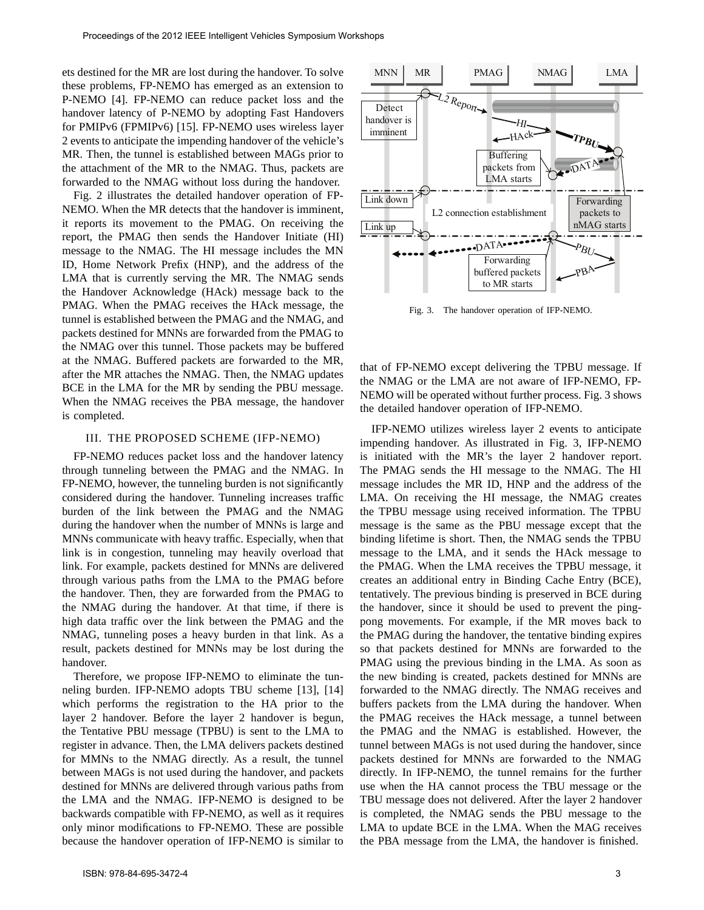ets destined for the MR are lost during the handover. To solve these problems, FP-NEMO has emerged as an extension to P-NEMO [4]. FP-NEMO can reduce packet loss and the handover latency of P-NEMO by adopting Fast Handovers for PMIPv6 (FPMIPv6) [15]. FP-NEMO uses wireless layer 2 events to anticipate the impending handover of the vehicle's MR. Then, the tunnel is established between MAGs prior to the attachment of the MR to the NMAG. Thus, packets are forwarded to the NMAG without loss during the handover.

Fig. 2 illustrates the detailed handover operation of FP-NEMO. When the MR detects that the handover is imminent, it reports its movement to the PMAG. On receiving the report, the PMAG then sends the Handover Initiate (HI) message to the NMAG. The HI message includes the MN ID, Home Network Prefix (HNP), and the address of the LMA that is currently serving the MR. The NMAG sends the Handover Acknowledge (HAck) message back to the PMAG. When the PMAG receives the HAck message, the tunnel is established between the PMAG and the NMAG, and packets destined for MNNs are forwarded from the PMAG to the NMAG over this tunnel. Those packets may be buffered at the NMAG. Buffered packets are forwarded to the MR, after the MR attaches the NMAG. Then, the NMAG updates BCE in the LMA for the MR by sending the PBU message. When the NMAG receives the PBA message, the handover is completed.

# III. THE PROPOSED SCHEME (IFP-NEMO)

FP-NEMO reduces packet loss and the handover latency through tunneling between the PMAG and the NMAG. In FP-NEMO, however, the tunneling burden is not significantly considered during the handover. Tunneling increases traffic burden of the link between the PMAG and the NMAG during the handover when the number of MNNs is large and MNNs communicate with heavy traffic. Especially, when that link is in congestion, tunneling may heavily overload that link. For example, packets destined for MNNs are delivered through various paths from the LMA to the PMAG before the handover. Then, they are forwarded from the PMAG to the NMAG during the handover. At that time, if there is high data traffic over the link between the PMAG and the NMAG, tunneling poses a heavy burden in that link. As a result, packets destined for MNNs may be lost during the handover.

Therefore, we propose IFP-NEMO to eliminate the tunneling burden. IFP-NEMO adopts TBU scheme [13], [14] which performs the registration to the HA prior to the layer 2 handover. Before the layer 2 handover is begun, the Tentative PBU message (TPBU) is sent to the LMA to register in advance. Then, the LMA delivers packets destined for MMNs to the NMAG directly. As a result, the tunnel between MAGs is not used during the handover, and packets destined for MNNs are delivered through various paths from the LMA and the NMAG. IFP-NEMO is designed to be backwards compatible with FP-NEMO, as well as it requires only minor modifications to FP-NEMO. These are possible because the handover operation of IFP-NEMO is similar to



Fig. 3. The handover operation of IFP-NEMO.

that of FP-NEMO except delivering the TPBU message. If the NMAG or the LMA are not aware of IFP-NEMO, FP-NEMO will be operated without further process. Fig. 3 shows the detailed handover operation of IFP-NEMO.

IFP-NEMO utilizes wireless layer 2 events to anticipate impending handover. As illustrated in Fig. 3, IFP-NEMO is initiated with the MR's the layer 2 handover report. The PMAG sends the HI message to the NMAG. The HI message includes the MR ID, HNP and the address of the LMA. On receiving the HI message, the NMAG creates the TPBU message using received information. The TPBU message is the same as the PBU message except that the binding lifetime is short. Then, the NMAG sends the TPBU message to the LMA, and it sends the HAck message to the PMAG. When the LMA receives the TPBU message, it creates an additional entry in Binding Cache Entry (BCE), tentatively. The previous binding is preserved in BCE during the handover, since it should be used to prevent the pingpong movements. For example, if the MR moves back to the PMAG during the handover, the tentative binding expires so that packets destined for MNNs are forwarded to the PMAG using the previous binding in the LMA. As soon as the new binding is created, packets destined for MNNs are forwarded to the NMAG directly. The NMAG receives and buffers packets from the LMA during the handover. When the PMAG receives the HAck message, a tunnel between the PMAG and the NMAG is established. However, the tunnel between MAGs is not used during the handover, since packets destined for MNNs are forwarded to the NMAG directly. In IFP-NEMO, the tunnel remains for the further use when the HA cannot process the TBU message or the TBU message does not delivered. After the layer 2 handover is completed, the NMAG sends the PBU message to the LMA to update BCE in the LMA. When the MAG receives the PBA message from the LMA, the handover is finished.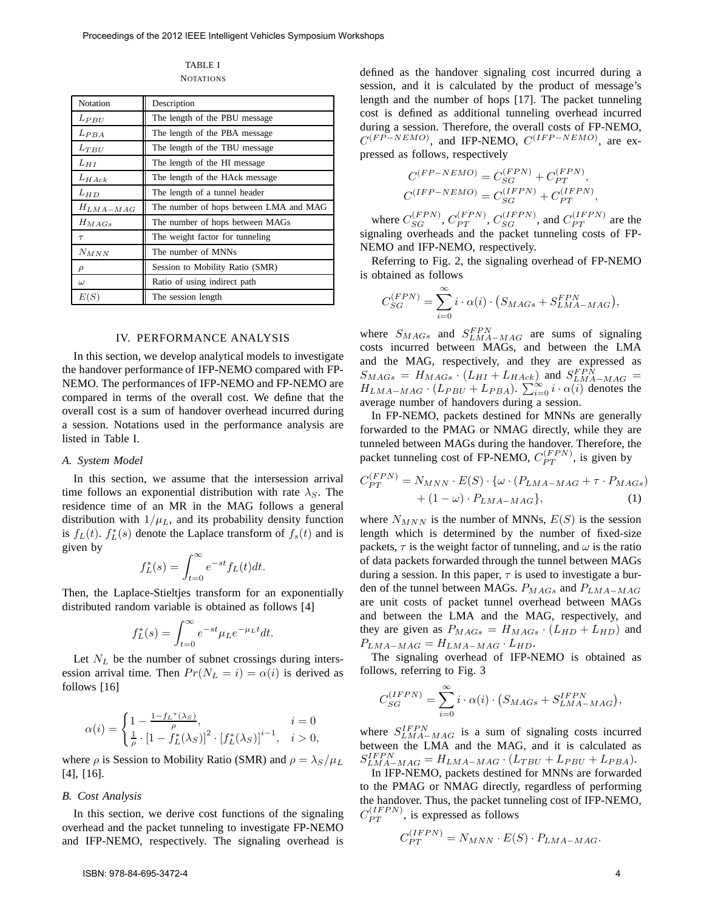TABLE I **NOTATIONS** 

| Notation      | Description                            |
|---------------|----------------------------------------|
| $L_{PBU}$     | The length of the PBU message          |
| $L_{PBA}$     | The length of the PBA message          |
| $L_{TBU}$     | The length of the TBU message          |
| $L_{HI}$      | The length of the HI message           |
| $L_{H,ack}$   | The length of the HAck message         |
| $L_{HD}$      | The length of a tunnel header          |
| $H_{LMA-MAG}$ | The number of hops between LMA and MAG |
| $H_{MAGs}$    | The number of hops between MAGs        |
| $\tau$        | The weight factor for tunneling        |
| $N_{MNN}$     | The number of MNNs                     |
| $\rho$        | Session to Mobility Ratio (SMR)        |
| $\omega$      | Ratio of using indirect path           |
| E(S)          | The session length                     |

#### IV. PERFORMANCE ANALYSIS

In this section, we develop analytical models to investigate the handover performance of IFP-NEMO compared with FP-NEMO. The performances of IFP-NEMO and FP-NEMO are compared in terms of the overall cost. We define that the overall cost is a sum of handover overhead incurred during a session. Notations used in the performance analysis are listed in Table I.

## *A. System Model*

In this section, we assume that the intersession arrival time follows an exponential distribution with rate  $\lambda_S$ . The residence time of an MR in the MAG follows a general distribution with  $1/\mu_L$ , and its probability density function is  $f_L(t)$ .  $f_L^*(s)$  denote the Laplace transform of  $f_s(t)$  and is given by

$$
f_L^*(s) = \int_{t=0}^{\infty} e^{-st} f_L(t) dt.
$$

Then, the Laplace-Stieltjes transform for an exponentially distributed random variable is obtained as follows [4]

$$
f_L^*(s) = \int_{t=0}^{\infty} e^{-st} \mu_L e^{-\mu_L t} dt.
$$

Let  $N_L$  be the number of subnet crossings during intersession arrival time. Then  $Pr(N_L = i) = \alpha(i)$  is derived as follows [16]

$$
\alpha(i)=\begin{cases}1-\frac{1-f_L{}^*(\lambda_S)}{\rho}, & i=0\\ \frac{1}{\rho}\cdot\left[1-f_L^*(\lambda_S)\right]^2\cdot\left[f_L^*(\lambda_S)\right]^{i-1}, & i>0,\end{cases}
$$

where  $\rho$  is Session to Mobility Ratio (SMR) and  $\rho = \lambda_S / \mu_L$ [4], [16].

#### *B. Cost Analysis*

In this section, we derive cost functions of the signaling overhead and the packet tunneling to investigate FP-NEMO and IFP-NEMO, respectively. The signaling overhead is

ISBN: 978-84-695-3472-4 4

defined as the handover signaling cost incurred during a session, and it is calculated by the product of message's length and the number of hops [17]. The packet tunneling cost is defined as additional tunneling overhead incurred during a session. Therefore, the overall costs of FP-NEMO,  $C(FP-NEMO)$ , and IFP-NEMO,  $C(IFP-NEMO)$ , are expressed as follows, respectively

$$
C^{(FP-NEMO)} = C_{SG}^{(FPN)} + C_{PT}^{(FPN)},
$$
  

$$
C^{(IFP-NEMO)} = C_{SG}^{(IFPN)} + C_{PT}^{(IFPN)},
$$

where  $C_{SG}^{(FPN)}$ ,  $C_{PT}^{(FPN)}$ ,  $C_{SG}^{(IFPN)}$ , and  $C_{PT}^{(IFPN)}$  are the signaling overheads and the packet tunneling costs of FP-NEMO and IFP-NEMO, respectively.

Referring to Fig. 2, the signaling overhead of FP-NEMO is obtained as follows

$$
C_{SG}^{(FPN)} = \sum_{i=0}^{\infty} i \cdot \alpha(i) \cdot (S_{MAGs} + S_{LMA-MAG}^{FPN}),
$$

where  $S_{MAGs}$  and  $S_{LMA-MAG}^{FPN}$  are sums of signaling costs incurred between MAGs, and between the LMA and the MAG, respectively, and they are expressed as  $S_{MAGs} = H_{MAGs} \cdot (L_{HI} + L_{Hack})$  and  $S_{LMA-MAG}^{FPN} =$  $H_{LMA-MAG}$  · (L<sub>PBU</sub> + L<sub>PBA</sub>).  $\sum_{i=0}^{\infty} i \cdot \alpha(i)$  denotes the average number of handovers during a session.

In FP-NEMO, packets destined for MNNs are generally forwarded to the PMAG or NMAG directly, while they are tunneled between MAGs during the handover. Therefore, the packet tunneling cost of FP-NEMO,  $C_{PT}^{(FPN)}$ , is given by

$$
C_{PT}^{(FPN)} = N_{MNN} \cdot E(S) \cdot \{ \omega \cdot (P_{LMA-MAG} + \tau \cdot P_{MAGs}) + (1 - \omega) \cdot P_{LMA-MAG} \}, \tag{1}
$$

where  $N_{MNN}$  is the number of MNNs,  $E(S)$  is the session length which is determined by the number of fixed-size packets,  $\tau$  is the weight factor of tunneling, and  $\omega$  is the ratio of data packets forwarded through the tunnel between MAGs during a session. In this paper,  $\tau$  is used to investigate a burden of the tunnel between MAGs.  $P_{MAGs}$  and  $P_{LMA-MAGs}$ are unit costs of packet tunnel overhead between MAGs and between the LMA and the MAG, respectively, and they are given as  $P_{MAGs} = H_{MAGs} \cdot (L_{HD} + L_{HD})$  and  $P_{LMA-MAG} = H_{LMA-MAG} \cdot L_{HD}.$ 

The signaling overhead of IFP-NEMO is obtained as follows, referring to Fig. 3

$$
C_{SG}^{(IFPN)} = \sum_{i=0}^{\infty} i \cdot \alpha(i) \cdot (S_{MAGs} + S_{LMA-MAG}^{IFPN}),
$$

where  $S_{LMA-MAG}^{IFPN}$  is a sum of signaling costs incurred between the LMA and the MAG, and it is calculated as  $S_{LMA-MAG}^{IFPN} = H_{LMA-MAG} \cdot (L_{TBU} + L_{PBU} + L_{PBA}).$ 

In IFP-NEMO, packets destined for MNNs are forwarded to the PMAG or NMAG directly, regardless of performing the handover. Thus, the packet tunneling cost of IFP-NEMO,  $C_{PT}^{(IFPN)}$ , is expressed as follows

$$
C_{PT}^{(IFPN)} = N_{MNN} \cdot E(S) \cdot P_{LMA-MAG}.
$$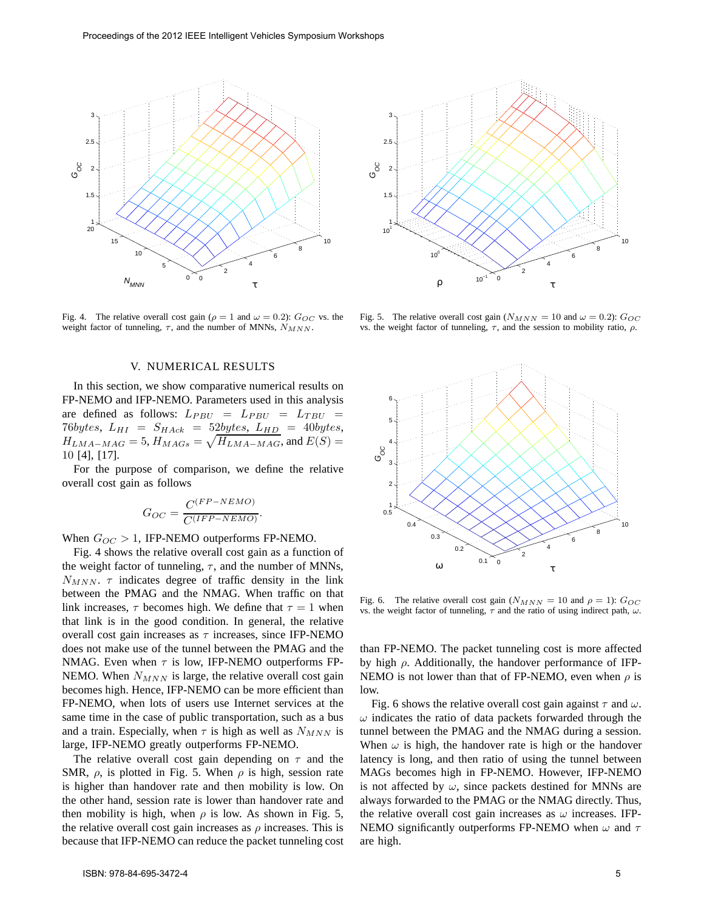

Fig. 4. The relative overall cost gain ( $\rho = 1$  and  $\omega = 0.2$ ):  $G_{OC}$  vs. the weight factor of tunneling,  $\tau$ , and the number of MNNs,  $N_{MNN}$ .

# V. NUMERICAL RESULTS

In this section, we show comparative numerical results on FP-NEMO and IFP-NEMO. Parameters used in this analysis are defined as follows:  $L_{PBU} = L_{PBU} = L_{TBU}$  $76bytes, L_{HI} = S_{Hack} = 52bytes, L_{HD} = 40bytes,$  $H_{LMA-MAG} = 5$ ,  $H_{MAGs} = \sqrt{H_{LMA-MAG}}$ , and  $E(S) =$ 10 [4], [17].

For the purpose of comparison, we define the relative overall cost gain as follows

$$
G_{OC} = \frac{C^{(FP-NEMO)}}{C^{(IFP-NEMO)}}
$$

.

When  $G_{OC} > 1$ , IFP-NEMO outperforms FP-NEMO.

Fig. 4 shows the relative overall cost gain as a function of the weight factor of tunneling,  $\tau$ , and the number of MNNs,  $N_{MNN}$ .  $\tau$  indicates degree of traffic density in the link between the PMAG and the NMAG. When traffic on that link increases,  $\tau$  becomes high. We define that  $\tau = 1$  when that link is in the good condition. In general, the relative overall cost gain increases as  $\tau$  increases, since IFP-NEMO does not make use of the tunnel between the PMAG and the NMAG. Even when  $\tau$  is low, IFP-NEMO outperforms FP-NEMO. When  $N_{MNN}$  is large, the relative overall cost gain becomes high. Hence, IFP-NEMO can be more efficient than FP-NEMO, when lots of users use Internet services at the same time in the case of public transportation, such as a bus and a train. Especially, when  $\tau$  is high as well as  $N_{MNN}$  is large, IFP-NEMO greatly outperforms FP-NEMO.

The relative overall cost gain depending on  $\tau$  and the SMR,  $\rho$ , is plotted in Fig. 5. When  $\rho$  is high, session rate is higher than handover rate and then mobility is low. On the other hand, session rate is lower than handover rate and then mobility is high, when  $\rho$  is low. As shown in Fig. 5, the relative overall cost gain increases as  $\rho$  increases. This is because that IFP-NEMO can reduce the packet tunneling cost



Fig. 5. The relative overall cost gain ( $N_{MNN} = 10$  and  $\omega = 0.2$ ):  $G_{OC}$ vs. the weight factor of tunneling,  $τ$ , and the session to mobility ratio,  $ρ$ .



Fig. 6. The relative overall cost gain  $(N_{MNN} = 10$  and  $\rho = 1)$ :  $G_{OC}$ vs. the weight factor of tunneling,  $\tau$  and the ratio of using indirect path,  $\omega$ .

than FP-NEMO. The packet tunneling cost is more affected by high  $\rho$ . Additionally, the handover performance of IFP-NEMO is not lower than that of FP-NEMO, even when  $\rho$  is low.

Fig. 6 shows the relative overall cost gain against  $\tau$  and  $\omega$ .  $\omega$  indicates the ratio of data packets forwarded through the tunnel between the PMAG and the NMAG during a session. When  $\omega$  is high, the handover rate is high or the handover latency is long, and then ratio of using the tunnel between MAGs becomes high in FP-NEMO. However, IFP-NEMO is not affected by  $\omega$ , since packets destined for MNNs are always forwarded to the PMAG or the NMAG directly. Thus, the relative overall cost gain increases as  $\omega$  increases. IFP-NEMO significantly outperforms FP-NEMO when  $\omega$  and  $\tau$ are high.

10